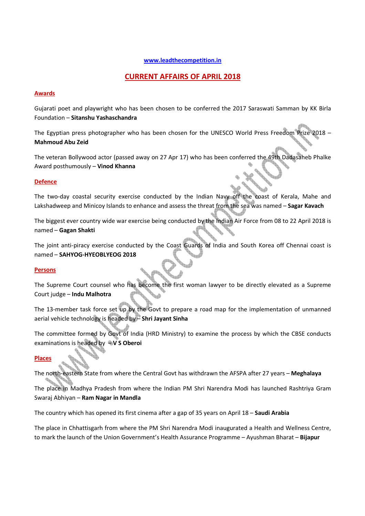### **www.leadthecompetition.in**

# **CURRENT AFFAIRS OF APRIL 2018**

### **Awards**

Gujarati poet and playwright who has been chosen to be conferred the 2017 Saraswati Samman by KK Birla Foundation – **Sitanshu Yashaschandra** 

The Egyptian press photographer who has been chosen for the UNESCO World Press Freedom Prize 2018 – **Mahmoud Abu Zeid** 

The veteran Bollywood actor (passed away on 27 Apr 17) who has been conferred the 49th Dadasaheb Phalke Award posthumously – **Vinod Khanna**

## **Defence**

The two-day coastal security exercise conducted by the Indian Navy off the coast of Kerala, Mahe and Lakshadweep and Minicoy Islands to enhance and assess the threat from the sea was named – **Sagar Kavach**

The biggest ever country wide war exercise being conducted by the Indian Air Force from 08 to 22 April 2018 is named – **Gagan Shakti**

The joint anti-piracy exercise conducted by the Coast Guards of India and South Korea off Chennai coast is named – **SAHYOG-HYEOBLYEOG 2018**

### **Persons**

The Supreme Court counsel who has become the first woman lawyer to be directly elevated as a Supreme Court judge – **Indu Malhotra** 

The 13-member task force set up by the Govt to prepare a road map for the implementation of unmanned aerial vehicle technology is headed by – **Shri Jayant Sinha** 

The committee formed by Govt of India (HRD Ministry) to examine the process by which the CBSE conducts examinations is headed by – **V S Oberoi**

### **Places**

The north-eastern State from where the Central Govt has withdrawn the AFSPA after 27 years – **Meghalaya**

The place in Madhya Pradesh from where the Indian PM Shri Narendra Modi has launched Rashtriya Gram Swaraj Abhiyan – **Ram Nagar in Mandla** 

The country which has opened its first cinema after a gap of 35 years on April 18 – **Saudi Arabia**

The place in Chhattisgarh from where the PM Shri Narendra Modi inaugurated a Health and Wellness Centre, to mark the launch of the Union Government's Health Assurance Programme – Ayushman Bharat – **Bijapur**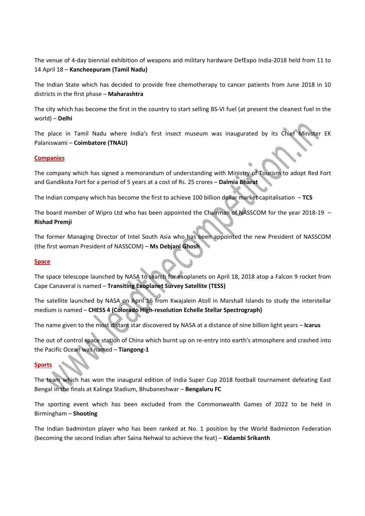The venue of 4-day biennial exhibition of weapons and military hardware DefExpo India-2018 held from 11 to 14 April 18 – **Kancheepuram (Tamil Nadu)** 

The Indian State which has decided to provide free chemotherapy to cancer patients from June 2018 in 10 districts in the first phase – **Maharashtra** 

The city which has become the first in the country to start selling BS-VI fuel (at present the cleanest fuel in the world) – **Delhi**

The place in Tamil Nadu where India's first insect museum was inaugurated by its Chief Minister EK Palaniswami – **Coimbatore (TNAU)**

### **Companies**

The company which has signed a memorandum of understanding with Ministry of Tourism to adopt Red Fort and Gandikota Fort for a period of 5 years at a cost of Rs. 25 crores – **Dalmia Bharat**

The Indian company which has become the first to achieve 100 billion dollar market capitalisation – **TCS** 

The board member of Wipro Ltd who has been appointed the Chairman of NASSCOM for the year 2018-19 -**Rishad Premji** 

The former Managing Director of Intel South Asia who has been appointed the new President of NASSCOM (the first woman President of NASSCOM) – **Ms Debjani Ghosh**

### **Space**

The space telescope launched by NASA to search for exoplanets on April 18, 2018 atop a Falcon 9 rocket from Cape Canaveral is named – **Transiting Exoplanet Survey Satellite (TESS)**

The satellite launched by NASA on April 16 from Kwajalein Atoll in Marshall Islands to study the interstellar medium is named – **CHESS 4 (Colorado High-resolution Echelle Stellar Spectrograph)**

The name given to the most distant star discovered by NASA at a distance of nine billion light years – **Icarus**

The out of control space station of China which burnt up on re-entry into earth's atmosphere and crashed into the Pacific Ocean was named – **Tiangong-1**

### **Sports**

The team which has won the inaugural edition of India Super Cup 2018 football tournament defeating East Bengal in the finals at Kalinga Stadium, Bhubaneshwar – **Bengaluru FC**

The sporting event which has been excluded from the Commonwealth Games of 2022 to be held in Birmingham – **Shooting**

The Indian badminton player who has been ranked at No. 1 position by the World Badminton Federation (becoming the second Indian after Saina Nehwal to achieve the feat) – **Kidambi Srikanth**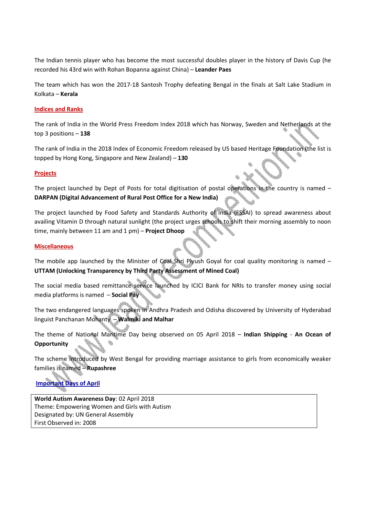The Indian tennis player who has become the most successful doubles player in the history of Davis Cup (he recorded his 43rd win with Rohan Bopanna against China) – **Leander Paes** 

The team which has won the 2017-18 Santosh Trophy defeating Bengal in the finals at Salt Lake Stadium in Kolkata – **Kerala** 

### **Indices and Ranks**

The rank of India in the World Press Freedom Index 2018 which has Norway, Sweden and Netherlands at the top 3 positions – **138**

The rank of India in the 2018 Index of Economic Freedom released by US based Heritage Foundation (the list is topped by Hong Kong, Singapore and New Zealand) – **130**

### **Projects**

The project launched by Dept of Posts for total digitisation of postal operations in the country is named – **DARPAN (Digital Advancement of Rural Post Office for a New India)**

The project launched by Food Safety and Standards Authority of India (FSSAI) to spread awareness about availing Vitamin D through natural sunlight (the project urges schools to shift their morning assembly to noon time, mainly between 11 am and 1 pm) – **Project Dhoop**

### **Miscellaneous**

The mobile app launched by the Minister of Coal Shri Piyush Goyal for coal quality monitoring is named  $-$ **UTTAM (Unlocking Transparency by Third Party Assessment of Mined Coal)**

The social media based remittance service launched by ICICI Bank for NRIs to transfer money using social media platforms is named – **Social Pay**

The two endangered languages spoken in Andhra Pradesh and Odisha discovered by University of Hyderabad linguist Panchanan Mohanty – **Walmiki and Malhar**

The theme of National Maritime Day being observed on 05 April 2018 – **Indian Shipping** - **An Ocean of Opportunity**

The scheme introduced by West Bengal for providing marriage assistance to girls from economically weaker families is named – **Rupashree**

# **Important Days of April**

**World Autism Awareness Day**: 02 April 2018 Theme: Empowering Women and Girls with Autism Designated by: UN General Assembly First Observed in: 2008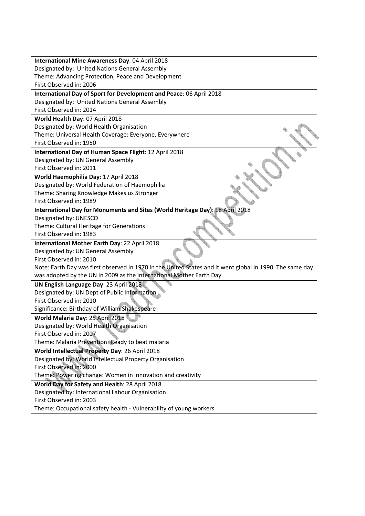| International Mine Awareness Day: 04 April 2018                                                          |
|----------------------------------------------------------------------------------------------------------|
| Designated by: United Nations General Assembly                                                           |
| Theme: Advancing Protection, Peace and Development                                                       |
| First Observed in: 2006                                                                                  |
| International Day of Sport for Development and Peace: 06 April 2018                                      |
| Designated by: United Nations General Assembly                                                           |
| First Observed in: 2014                                                                                  |
| World Health Day: 07 April 2018                                                                          |
| Designated by: World Health Organisation                                                                 |
| Theme: Universal Health Coverage: Everyone, Everywhere                                                   |
| First Observed in: 1950                                                                                  |
| International Day of Human Space Flight: 12 April 2018                                                   |
| Designated by: UN General Assembly                                                                       |
| First Observed in: 2011                                                                                  |
| World Haemophilia Day: 17 April 2018                                                                     |
| Designated by: World Federation of Haemophilia                                                           |
| Theme: Sharing Knowledge Makes us Stronger                                                               |
| First Observed in: 1989                                                                                  |
| International Day for Monuments and Sites (World Heritage Day): 18 April 2018                            |
| Designated by: UNESCO                                                                                    |
| Theme: Cultural Heritage for Generations                                                                 |
| First Observed in: 1983                                                                                  |
| International Mother Earth Day: 22 April 2018                                                            |
| Designated by: UN General Assembly                                                                       |
| First Observed in: 2010                                                                                  |
| Note: Earth Day was first observed in 1970 in the United States and it went global in 1990. The same day |
| was adopted by the UN in 2009 as the International Mother Earth Day.                                     |
| UN English Language Day: 23 April 2018                                                                   |
| Designated by: UN Dept of Public Information                                                             |
| First Observed in: 2010                                                                                  |
| Significance: Birthday of William Shakespeare                                                            |
| World Malaria Day: 25 April 2018                                                                         |
| Designated by: World Health Organisation                                                                 |
| First Observed in: 2007                                                                                  |
| Theme: Malaria Prevention: Ready to beat malaria                                                         |
| World Intellectual Property Day: 26 April 2018                                                           |
| Designated by: World Intellectual Property Organisation                                                  |
| First Observed in: 2000                                                                                  |
| Theme: Powering change: Women in innovation and creativity                                               |
| World Day for Safety and Health: 28 April 2018                                                           |
| Designated by: International Labour Organisation                                                         |
| First Observed in: 2003                                                                                  |
| Theme: Occupational safety health - Vulnerability of young workers                                       |
|                                                                                                          |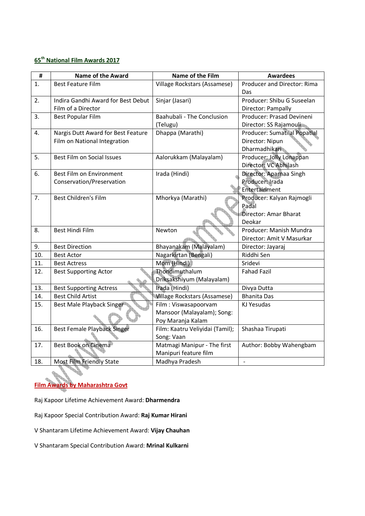# **65th National Film Awards 2017**

| #          | <b>Name of the Award</b>           | Name of the Film                                     | <b>Awardees</b>                    |
|------------|------------------------------------|------------------------------------------------------|------------------------------------|
| 1.         | <b>Best Feature Film</b>           | Village Rockstars (Assamese)                         | Producer and Director: Rima<br>Das |
| 2.         | Indira Gandhi Award for Best Debut | Sinjar (Jasari)                                      | Producer: Shibu G Suseelan         |
|            | Film of a Director                 |                                                      | Director: Pampally                 |
| 3.         | <b>Best Popular Film</b>           | Baahubali - The Conclusion                           | Producer: Prasad Devineni          |
|            |                                    | (Telugu)                                             | Director: SS Rajamouli             |
| 4.         | Nargis Dutt Award for Best Feature | Dhappa (Marathi)                                     | Producer: Sumatilal Popatlal       |
|            | Film on National Integration       |                                                      | Director: Nipun                    |
|            |                                    |                                                      | Dharmadhikari                      |
| 5.         | <b>Best Film on Social Issues</b>  | Aalorukkam (Malayalam)                               | Producer: Jolly Lonappan           |
|            |                                    |                                                      | Director: VC Abhilash              |
| 6.         | Best Film on Environment           | Irada (Hindi)                                        | Director: Aparnaa Singh            |
|            | Conservation/Preservation          |                                                      | Producer: Irada                    |
|            |                                    |                                                      | Entertainment                      |
| 7.         | <b>Best Children's Film</b>        | Mhorkya (Marathi)                                    | Producer: Kalyan Rajmogli          |
|            |                                    |                                                      | Padal                              |
|            |                                    |                                                      | Director: Amar Bharat              |
|            |                                    |                                                      | Deokar                             |
| 8.         | Best Hindi Film                    | Newton                                               | Producer: Manish Mundra            |
|            |                                    |                                                      | Director: Amit V Masurkar          |
| 9.         | <b>Best Direction</b>              | Bhayanakam (Malayalam)                               | Director: Jayaraj                  |
| 10.        | <b>Best Actor</b>                  | Nagarkirtan (Bengali)                                | Riddhi Sen                         |
| 11.        | <b>Best Actress</b>                | Mom (Hindi)                                          | Sridevi                            |
| 12.        | <b>Best Supporting Actor</b>       | Thondimuthalum                                       | <b>Fahad Fazil</b>                 |
| 13.        |                                    | Driksakshiyum (Malayalam)<br>Irada (Hindi)           |                                    |
|            | <b>Best Supporting Actress</b>     |                                                      | Divya Dutta                        |
| 14.<br>15. | <b>Best Child Artist</b>           | <b>Village Rockstars (Assamese)</b>                  | <b>Bhanita Das</b>                 |
|            | Best Male Playback Singer          | Film: Viswasapoorvam                                 | KJ Yesudas                         |
|            |                                    | Mansoor (Malayalam); Song:                           |                                    |
| 16.        | Best Female Playback Singer        | Poy Maranja Kalam<br>Film: Kaatru Veliyidai (Tamil); | Shashaa Tirupati                   |
|            |                                    | Song: Vaan                                           |                                    |
| 17.        | Best Book on Cinema                | Matmagi Manipur - The first                          | Author: Bobby Wahengbam            |
|            |                                    | Manipuri feature film                                |                                    |
| 18.        | Most Film Friendly State           | Madhya Pradesh                                       | $\blacksquare$                     |
|            |                                    |                                                      |                                    |

**Film Awards by Maharashtra Govt**

Raj Kapoor Lifetime Achievement Award: **Dharmendra**

Raj Kapoor Special Contribution Award: **Raj Kumar Hirani**

V Shantaram Lifetime Achievement Award: **Vijay Chauhan**

V Shantaram Special Contribution Award: **Mrinal Kulkarni**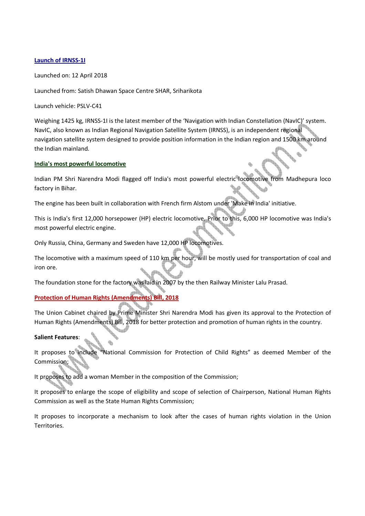### **Launch of IRNSS-1I**

Launched on: 12 April 2018

Launched from: Satish Dhawan Space Centre SHAR, Sriharikota

Launch vehicle: PSLV-C41

Weighing 1425 kg, IRNSS-1I is the latest member of the 'Navigation with Indian Constellation (NavIC)' system. NavIC, also known as Indian Regional Navigation Satellite System (IRNSS), is an independent regional navigation satellite system designed to provide position information in the Indian region and 1500 km around the Indian mainland.

## **India's most powerful locomotive**

Indian PM Shri Narendra Modi flagged off India's most powerful electric locomotive from Madhepura loco factory in Bihar.

The engine has been built in collaboration with French firm Alstom under 'Make in India' initiative.

This is India's first 12,000 horsepower (HP) electric locomotive. Prior to this, 6,000 HP locomotive was India's most powerful electric engine.

Only Russia, China, Germany and Sweden have 12,000 HP locomotives.

The locomotive with a maximum speed of 110 km per hour, will be mostly used for transportation of coal and iron ore.

The foundation stone for the factory was laid in 2007 by the then Railway Minister Lalu Prasad.

## **Protection of Human Rights (Amendments) Bill, 2018**

The Union Cabinet chaired by Prime Minister Shri Narendra Modi has given its approval to the Protection of Human Rights (Amendments) Bill, 2018 for better protection and promotion of human rights in the country.

### **Salient Features**:

It proposes to include "National Commission for Protection of Child Rights" as deemed Member of the Commission;

It proposes to add a woman Member in the composition of the Commission;

It proposes to enlarge the scope of eligibility and scope of selection of Chairperson, National Human Rights Commission as well as the State Human Rights Commission;

It proposes to incorporate a mechanism to look after the cases of human rights violation in the Union Territories.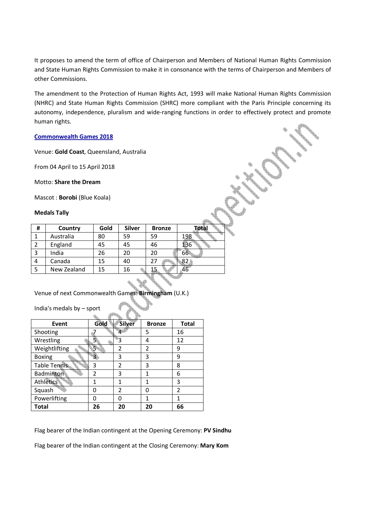It proposes to amend the term of office of Chairperson and Members of National Human Rights Commission and State Human Rights Commission to make it in consonance with the terms of Chairperson and Members of other Commissions.

The amendment to the Protection of Human Rights Act, 1993 will make National Human Rights Commission (NHRC) and State Human Rights Commission (SHRC) more compliant with the Paris Principle concerning its autonomy, independence, pluralism and wide-ranging functions in order to effectively protect and promote human rights.

### **Commonwealth Games 2018**

Venue: **Gold Coast**, Queensland, Australia

From 04 April to 15 April 2018

Motto: **Share the Dream**

Mascot : **Borobi** (Blue Koala)

### **Medals Tally**

| Ħ | Country     | Gold | <b>Silver</b> | <b>Bronze</b> | <b>Total</b> |
|---|-------------|------|---------------|---------------|--------------|
|   | Australia   | 80   | 59            | 59            | 198          |
| 2 | England     | 45   | 45            | 46            | 136          |
| 3 | India       | 26   | 20            | 20            | 66           |
| 4 | Canada      | 15   | 40            |               | 82           |
| 5 | New Zealand | 15   | 16            |               | 46           |
|   |             |      |               |               |              |

Venue of next Commonwealth Games: **Birmingham** (U.K.)

India's medals by – sport

| Event               | Gold           | <b>Silver</b>  | <b>Bronze</b> | <b>Total</b>   |
|---------------------|----------------|----------------|---------------|----------------|
| Shooting            |                |                | 5             | 16             |
| Wrestling           |                | 3              | 4             | 12             |
| Weightlifting       | 5              | 2              | 2             | 9              |
| <b>Boxing</b>       | З              | 3              | 3             | 9              |
| <b>Table Tennis</b> | 3              | $\overline{2}$ | 3             | 8              |
| Badminton           | $\mathfrak{p}$ | 3              | 1             | 6              |
| <b>Athletics</b>    | 1              | 1              | 1             | 3              |
| Squash              | O              | 2              | 0             | $\overline{2}$ |
| Powerlifting        | n              | Ω              | 1             |                |
| <b>Total</b>        | 26             | 20             | 20            | 66             |

Flag bearer of the Indian contingent at the Opening Ceremony: **PV Sindhu**

Flag bearer of the Indian contingent at the Closing Ceremony: **Mary Kom**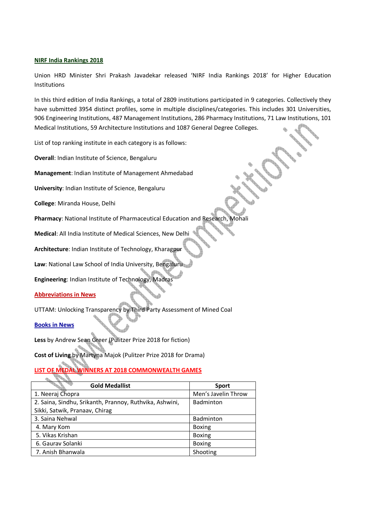### **NIRF India Rankings 2018**

Union HRD Minister Shri Prakash Javadekar released 'NIRF India Rankings 2018' for Higher Education Institutions

In this third edition of India Rankings, a total of 2809 institutions participated in 9 categories. Collectively they have submitted 3954 distinct profiles, some in multiple disciplines/categories. This includes 301 Universities, 906 Engineering Institutions, 487 Management Institutions, 286 Pharmacy Institutions, 71 Law Institutions, 101 Medical Institutions, 59 Architecture Institutions and 1087 General Degree Colleges.

List of top ranking institute in each category is as follows:

**Overall**: Indian Institute of Science, Bengaluru

**Management**: Indian Institute of Management Ahmedabad

**University**: Indian Institute of Science, Bengaluru

**College**: Miranda House, Delhi

**Pharmacy**: National Institute of Pharmaceutical Education and Research, Mohali

**Medical**: All India Institute of Medical Sciences, New Delhi

**Architecture**: Indian Institute of Technology, Kharagpur

**Law**: National Law School of India University, Bengaluru

**Engineering**: Indian Institute of Technology, Madras

### **Abbreviations in News**

UTTAM: Unlocking Transparency by Third Party Assessment of Mined Coal

**Books in News**

**Less** by Andrew Sean Greer (Pulitzer Prize 2018 for fiction)

**Cost of Living** by Martyna Majok (Pulitzer Prize 2018 for Drama)

**LIST OF MEDAL WINNERS AT 2018 COMMONWEALTH GAMES**

| <b>Gold Medallist</b>                                   | <b>Sport</b>        |
|---------------------------------------------------------|---------------------|
| 1. Neeraj Chopra                                        | Men's Javelin Throw |
| 2. Saina, Sindhu, Srikanth, Prannoy, Ruthvika, Ashwini, | Badminton           |
| Sikki, Satwik, Pranaav, Chirag                          |                     |
| 3. Saina Nehwal                                         | <b>Badminton</b>    |
| 4. Mary Kom                                             | <b>Boxing</b>       |
| 5. Vikas Krishan                                        | <b>Boxing</b>       |
| 6. Gaurav Solanki                                       | <b>Boxing</b>       |
| 7. Anish Bhanwala                                       | Shooting            |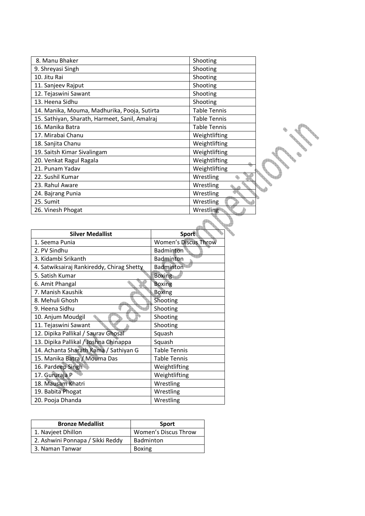| 8. Manu Bhaker                                 | Shooting            |
|------------------------------------------------|---------------------|
| 9. Shreyasi Singh                              | Shooting            |
| 10. Jitu Rai                                   | Shooting            |
| 11. Sanjeev Rajput                             | Shooting            |
| 12. Tejaswini Sawant                           | Shooting            |
| 13. Heena Sidhu                                | Shooting            |
| 14. Manika, Mouma, Madhurika, Pooja, Sutirta   | <b>Table Tennis</b> |
| 15. Sathiyan, Sharath, Harmeet, Sanil, Amalraj | <b>Table Tennis</b> |
| 16. Manika Batra                               | Table Tennis        |
| 17. Mirabai Chanu                              | Weightlifting       |
| 18. Sanjita Chanu                              | Weightlifting       |
| 19. Saitsh Kimar Sivalingam                    | Weightlifting       |
| 20. Venkat Ragul Ragala                        | Weightlifting       |
| 21. Punam Yadav                                | Weightlifting       |
| 22. Sushil Kumar                               | Wrestling           |
| 23. Rahul Aware                                | Wrestling           |
| 24. Bajrang Punia                              | Wrestling           |
| 25. Sumit                                      | Wrestling           |
| 26. Vinesh Phogat                              | Wrestling           |

CONTROLLED

| <b>Silver Medallist</b>                   | Sport                       |
|-------------------------------------------|-----------------------------|
| 1. Seema Punia                            | <b>Women's Discus Throw</b> |
| 2. PV Sindhu                              | <b>Badminton</b>            |
| 3. Kidambi Srikanth                       | Badminton                   |
| 4. Satwiksairaj Rankireddy, Chirag Shetty | Badminton                   |
| 5. Satish Kumar                           | <b>Boxing</b>               |
| 6. Amit Phangal                           | <b>Boxing</b>               |
| 7. Manish Kaushik                         | <b>Boxing</b>               |
| 8. Mehuli Ghosh                           | Shooting                    |
| 9. Heena Sidhu                            | Shooting                    |
| 10. Anjum Moudgil                         | Shooting                    |
| 11. Tejaswini Sawant                      | Shooting                    |
| 12. Dipika Pallikal / Saurav Ghosal       | Squash                      |
| 13. Dipika Pallikal / Joshna Chinappa     | Squash                      |
| 14. Achanta Sharath Kama / Sathiyan G     | <b>Table Tennis</b>         |
| 15. Manika Batra / Mouma Das              | Table Tennis                |
| 16. Pardeep Singh                         | Weightlifting               |
| 17. Gururaja P                            | Weightlifting               |
| 18. Mausam Khatri                         | Wrestling                   |
| 19. Babita Phogat                         | Wrestling                   |
| 20. Pooja Dhanda                          | Wrestling                   |

| <b>Bronze Medallist</b>          | <b>Sport</b>         |
|----------------------------------|----------------------|
| 1. Navjeet Dhillon               | Women's Discus Throw |
| 2. Ashwini Ponnapa / Sikki Reddy | Badminton            |
| 3. Naman Tanwar                  | <b>Boxing</b>        |